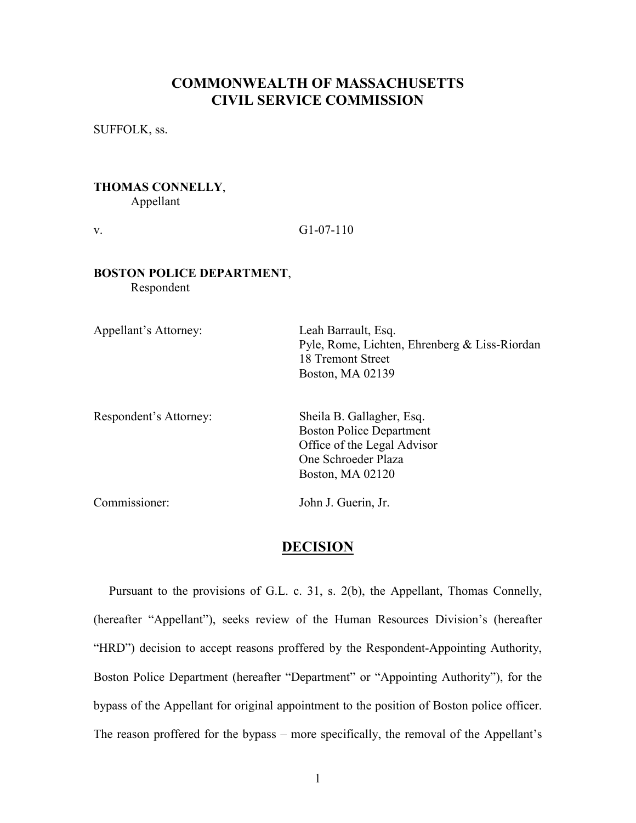# COMMONWEALTH OF MASSACHUSETTS CIVIL SERVICE COMMISSION

SUFFOLK, ss.

### THOMAS CONNELLY, Appellant

v.  $G1-07-110$ 

### BOSTON POLICE DEPARTMENT, Respondent

Appellant's Attorney: Leah Barrault, Esq. Pyle, Rome, Lichten, Ehrenberg & Liss-Riordan 18 Tremont Street Boston, MA 02139 Respondent's Attorney: Sheila B. Gallagher, Esq. Boston Police Department Office of the Legal Advisor One Schroeder Plaza Boston, MA 02120

Commissioner: John J. Guerin, Jr.

## **DECISION**

 Pursuant to the provisions of G.L. c. 31, s. 2(b), the Appellant, Thomas Connelly, (hereafter "Appellant"), seeks review of the Human Resources Division's (hereafter "HRD") decision to accept reasons proffered by the Respondent-Appointing Authority, Boston Police Department (hereafter "Department" or "Appointing Authority"), for the bypass of the Appellant for original appointment to the position of Boston police officer. The reason proffered for the bypass – more specifically, the removal of the Appellant's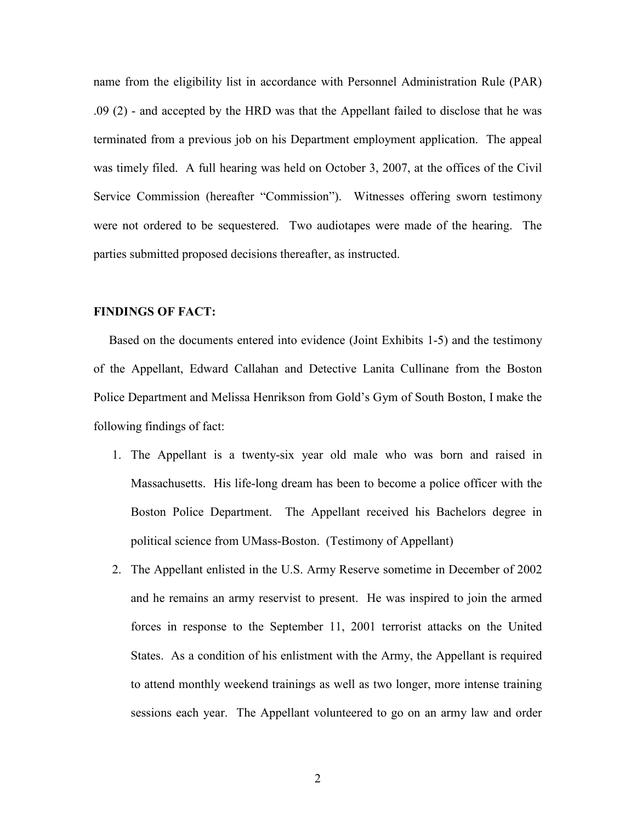name from the eligibility list in accordance with Personnel Administration Rule (PAR) .09 (2) - and accepted by the HRD was that the Appellant failed to disclose that he was terminated from a previous job on his Department employment application. The appeal was timely filed. A full hearing was held on October 3, 2007, at the offices of the Civil Service Commission (hereafter "Commission"). Witnesses offering sworn testimony were not ordered to be sequestered. Two audiotapes were made of the hearing. The parties submitted proposed decisions thereafter, as instructed.

### FINDINGS OF FACT:

 Based on the documents entered into evidence (Joint Exhibits 1-5) and the testimony of the Appellant, Edward Callahan and Detective Lanita Cullinane from the Boston Police Department and Melissa Henrikson from Gold's Gym of South Boston, I make the following findings of fact:

- 1. The Appellant is a twenty-six year old male who was born and raised in Massachusetts. His life-long dream has been to become a police officer with the Boston Police Department. The Appellant received his Bachelors degree in political science from UMass-Boston. (Testimony of Appellant)
- 2. The Appellant enlisted in the U.S. Army Reserve sometime in December of 2002 and he remains an army reservist to present. He was inspired to join the armed forces in response to the September 11, 2001 terrorist attacks on the United States. As a condition of his enlistment with the Army, the Appellant is required to attend monthly weekend trainings as well as two longer, more intense training sessions each year. The Appellant volunteered to go on an army law and order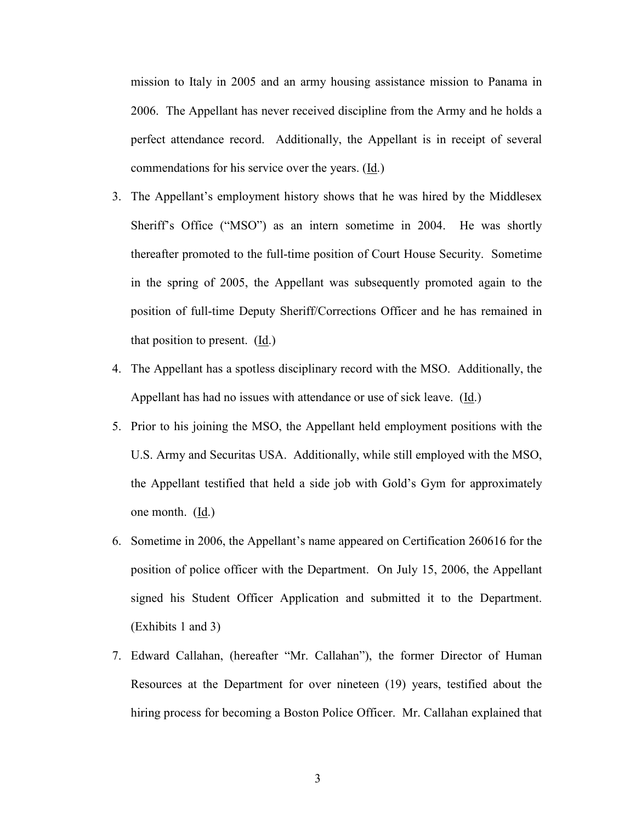mission to Italy in 2005 and an army housing assistance mission to Panama in 2006. The Appellant has never received discipline from the Army and he holds a perfect attendance record. Additionally, the Appellant is in receipt of several commendations for his service over the years. (Id.)

- 3. The Appellant's employment history shows that he was hired by the Middlesex Sheriff's Office ("MSO") as an intern sometime in 2004. He was shortly thereafter promoted to the full-time position of Court House Security. Sometime in the spring of 2005, the Appellant was subsequently promoted again to the position of full-time Deputy Sheriff/Corrections Officer and he has remained in that position to present. (Id.)
- 4. The Appellant has a spotless disciplinary record with the MSO. Additionally, the Appellant has had no issues with attendance or use of sick leave. (Id.)
- 5. Prior to his joining the MSO, the Appellant held employment positions with the U.S. Army and Securitas USA. Additionally, while still employed with the MSO, the Appellant testified that held a side job with Gold's Gym for approximately one month. (Id.)
- 6. Sometime in 2006, the Appellant's name appeared on Certification 260616 for the position of police officer with the Department. On July 15, 2006, the Appellant signed his Student Officer Application and submitted it to the Department. (Exhibits 1 and 3)
- 7. Edward Callahan, (hereafter "Mr. Callahan"), the former Director of Human Resources at the Department for over nineteen (19) years, testified about the hiring process for becoming a Boston Police Officer. Mr. Callahan explained that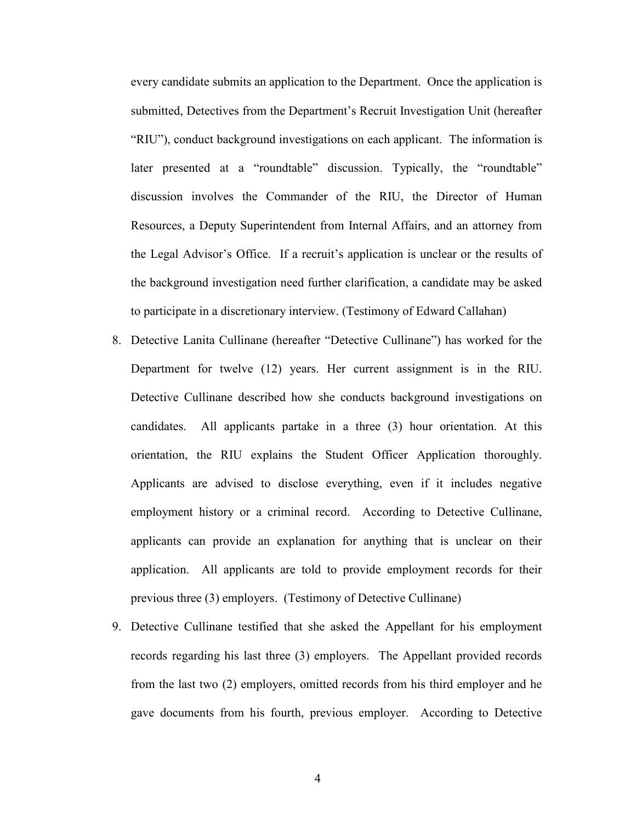every candidate submits an application to the Department. Once the application is submitted, Detectives from the Department's Recruit Investigation Unit (hereafter "RIU"), conduct background investigations on each applicant. The information is later presented at a "roundtable" discussion. Typically, the "roundtable" discussion involves the Commander of the RIU, the Director of Human Resources, a Deputy Superintendent from Internal Affairs, and an attorney from the Legal Advisor's Office. If a recruit's application is unclear or the results of the background investigation need further clarification, a candidate may be asked to participate in a discretionary interview. (Testimony of Edward Callahan)

- 8. Detective Lanita Cullinane (hereafter "Detective Cullinane") has worked for the Department for twelve (12) years. Her current assignment is in the RIU. Detective Cullinane described how she conducts background investigations on candidates. All applicants partake in a three (3) hour orientation. At this orientation, the RIU explains the Student Officer Application thoroughly. Applicants are advised to disclose everything, even if it includes negative employment history or a criminal record. According to Detective Cullinane, applicants can provide an explanation for anything that is unclear on their application. All applicants are told to provide employment records for their previous three (3) employers. (Testimony of Detective Cullinane)
- 9. Detective Cullinane testified that she asked the Appellant for his employment records regarding his last three (3) employers. The Appellant provided records from the last two (2) employers, omitted records from his third employer and he gave documents from his fourth, previous employer. According to Detective

4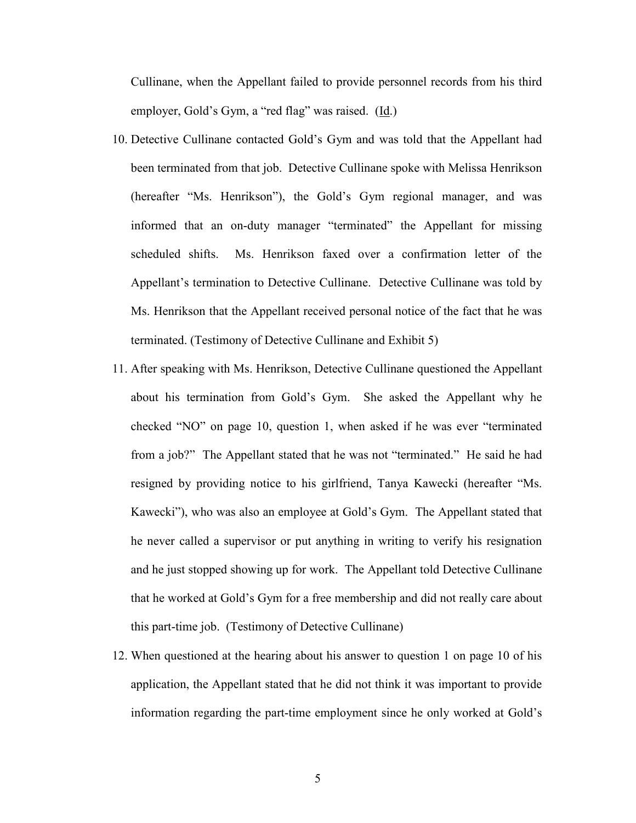Cullinane, when the Appellant failed to provide personnel records from his third employer, Gold's Gym, a "red flag" was raised. (Id.)

- 10. Detective Cullinane contacted Gold's Gym and was told that the Appellant had been terminated from that job. Detective Cullinane spoke with Melissa Henrikson (hereafter "Ms. Henrikson"), the Gold's Gym regional manager, and was informed that an on-duty manager "terminated" the Appellant for missing scheduled shifts. Ms. Henrikson faxed over a confirmation letter of the Appellant's termination to Detective Cullinane. Detective Cullinane was told by Ms. Henrikson that the Appellant received personal notice of the fact that he was terminated. (Testimony of Detective Cullinane and Exhibit 5)
- 11. After speaking with Ms. Henrikson, Detective Cullinane questioned the Appellant about his termination from Gold's Gym. She asked the Appellant why he checked "NO" on page 10, question 1, when asked if he was ever "terminated from a job?" The Appellant stated that he was not "terminated." He said he had resigned by providing notice to his girlfriend, Tanya Kawecki (hereafter "Ms. Kawecki"), who was also an employee at Gold's Gym. The Appellant stated that he never called a supervisor or put anything in writing to verify his resignation and he just stopped showing up for work. The Appellant told Detective Cullinane that he worked at Gold's Gym for a free membership and did not really care about this part-time job. (Testimony of Detective Cullinane)
- 12. When questioned at the hearing about his answer to question 1 on page 10 of his application, the Appellant stated that he did not think it was important to provide information regarding the part-time employment since he only worked at Gold's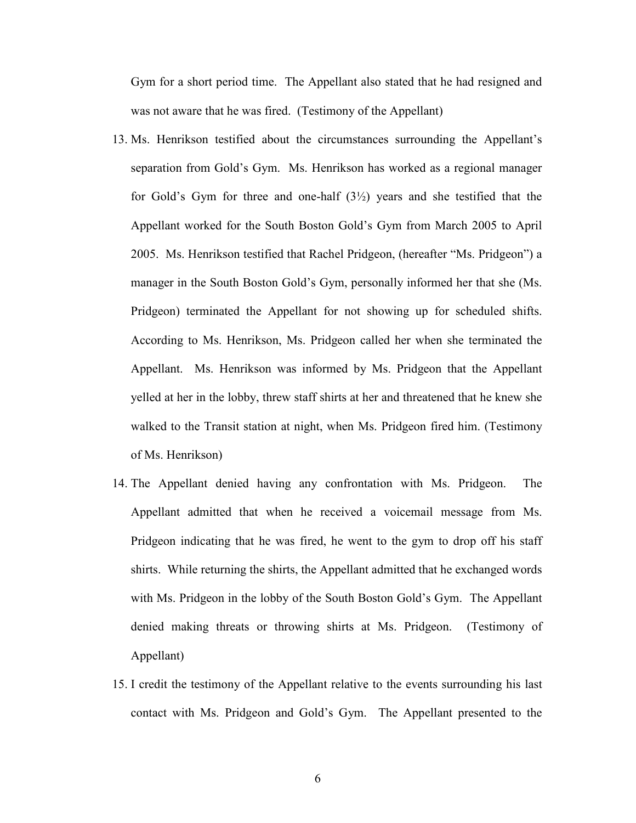Gym for a short period time. The Appellant also stated that he had resigned and was not aware that he was fired. (Testimony of the Appellant)

- 13. Ms. Henrikson testified about the circumstances surrounding the Appellant's separation from Gold's Gym. Ms. Henrikson has worked as a regional manager for Gold's Gym for three and one-half  $(3\frac{1}{2})$  years and she testified that the Appellant worked for the South Boston Gold's Gym from March 2005 to April 2005. Ms. Henrikson testified that Rachel Pridgeon, (hereafter "Ms. Pridgeon") a manager in the South Boston Gold's Gym, personally informed her that she (Ms. Pridgeon) terminated the Appellant for not showing up for scheduled shifts. According to Ms. Henrikson, Ms. Pridgeon called her when she terminated the Appellant. Ms. Henrikson was informed by Ms. Pridgeon that the Appellant yelled at her in the lobby, threw staff shirts at her and threatened that he knew she walked to the Transit station at night, when Ms. Pridgeon fired him. (Testimony of Ms. Henrikson)
- 14. The Appellant denied having any confrontation with Ms. Pridgeon. The Appellant admitted that when he received a voicemail message from Ms. Pridgeon indicating that he was fired, he went to the gym to drop off his staff shirts. While returning the shirts, the Appellant admitted that he exchanged words with Ms. Pridgeon in the lobby of the South Boston Gold's Gym. The Appellant denied making threats or throwing shirts at Ms. Pridgeon. (Testimony of Appellant)
- 15. I credit the testimony of the Appellant relative to the events surrounding his last contact with Ms. Pridgeon and Gold's Gym. The Appellant presented to the

6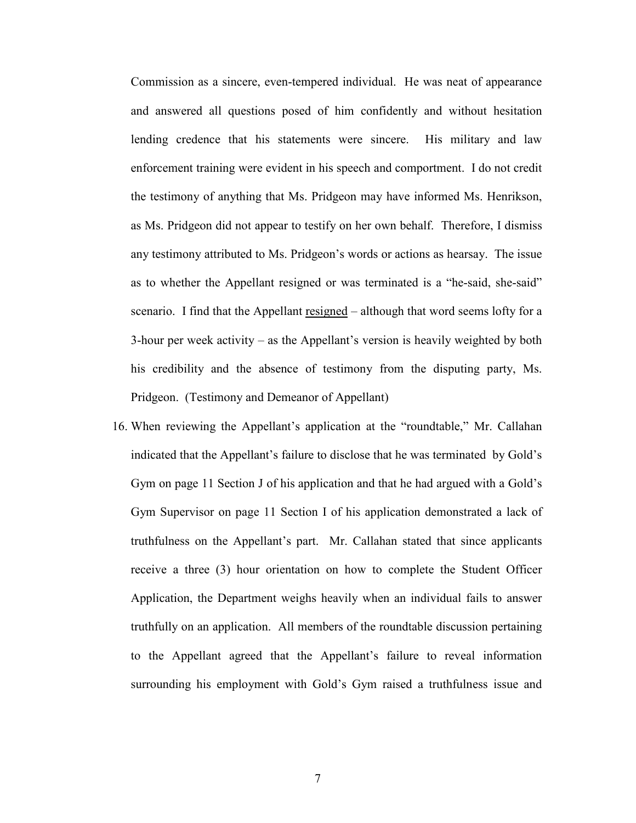Commission as a sincere, even-tempered individual. He was neat of appearance and answered all questions posed of him confidently and without hesitation lending credence that his statements were sincere. His military and law enforcement training were evident in his speech and comportment. I do not credit the testimony of anything that Ms. Pridgeon may have informed Ms. Henrikson, as Ms. Pridgeon did not appear to testify on her own behalf. Therefore, I dismiss any testimony attributed to Ms. Pridgeon's words or actions as hearsay. The issue as to whether the Appellant resigned or was terminated is a "he-said, she-said" scenario. I find that the Appellant resigned – although that word seems lofty for a 3-hour per week activity – as the Appellant's version is heavily weighted by both his credibility and the absence of testimony from the disputing party, Ms. Pridgeon. (Testimony and Demeanor of Appellant)

16. When reviewing the Appellant's application at the "roundtable," Mr. Callahan indicated that the Appellant's failure to disclose that he was terminated by Gold's Gym on page 11 Section J of his application and that he had argued with a Gold's Gym Supervisor on page 11 Section I of his application demonstrated a lack of truthfulness on the Appellant's part. Mr. Callahan stated that since applicants receive a three (3) hour orientation on how to complete the Student Officer Application, the Department weighs heavily when an individual fails to answer truthfully on an application. All members of the roundtable discussion pertaining to the Appellant agreed that the Appellant's failure to reveal information surrounding his employment with Gold's Gym raised a truthfulness issue and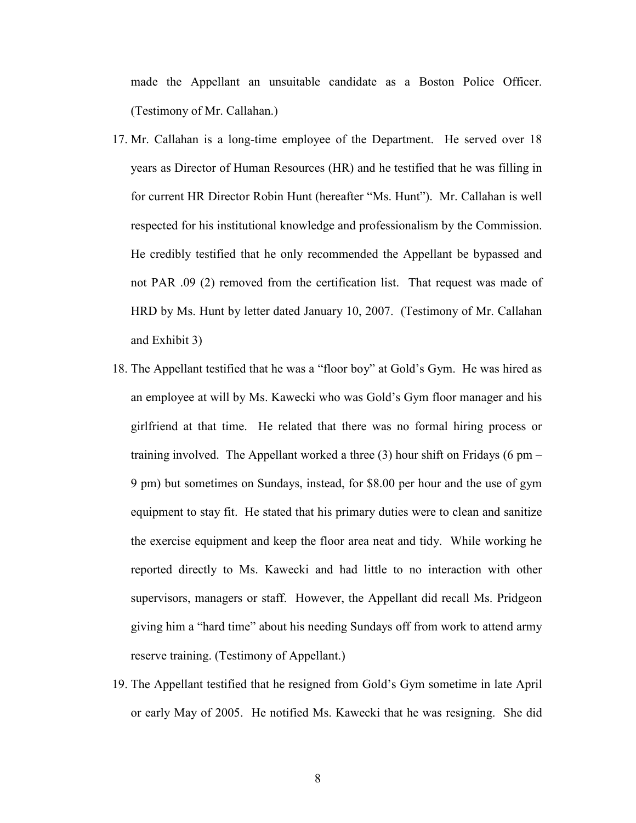made the Appellant an unsuitable candidate as a Boston Police Officer. (Testimony of Mr. Callahan.)

- 17. Mr. Callahan is a long-time employee of the Department. He served over 18 years as Director of Human Resources (HR) and he testified that he was filling in for current HR Director Robin Hunt (hereafter "Ms. Hunt"). Mr. Callahan is well respected for his institutional knowledge and professionalism by the Commission. He credibly testified that he only recommended the Appellant be bypassed and not PAR .09 (2) removed from the certification list. That request was made of HRD by Ms. Hunt by letter dated January 10, 2007. (Testimony of Mr. Callahan and Exhibit 3)
- 18. The Appellant testified that he was a "floor boy" at Gold's Gym. He was hired as an employee at will by Ms. Kawecki who was Gold's Gym floor manager and his girlfriend at that time. He related that there was no formal hiring process or training involved. The Appellant worked a three  $(3)$  hour shift on Fridays  $(6 \text{ pm} -$ 9 pm) but sometimes on Sundays, instead, for \$8.00 per hour and the use of gym equipment to stay fit. He stated that his primary duties were to clean and sanitize the exercise equipment and keep the floor area neat and tidy. While working he reported directly to Ms. Kawecki and had little to no interaction with other supervisors, managers or staff. However, the Appellant did recall Ms. Pridgeon giving him a "hard time" about his needing Sundays off from work to attend army reserve training. (Testimony of Appellant.)
- 19. The Appellant testified that he resigned from Gold's Gym sometime in late April or early May of 2005. He notified Ms. Kawecki that he was resigning. She did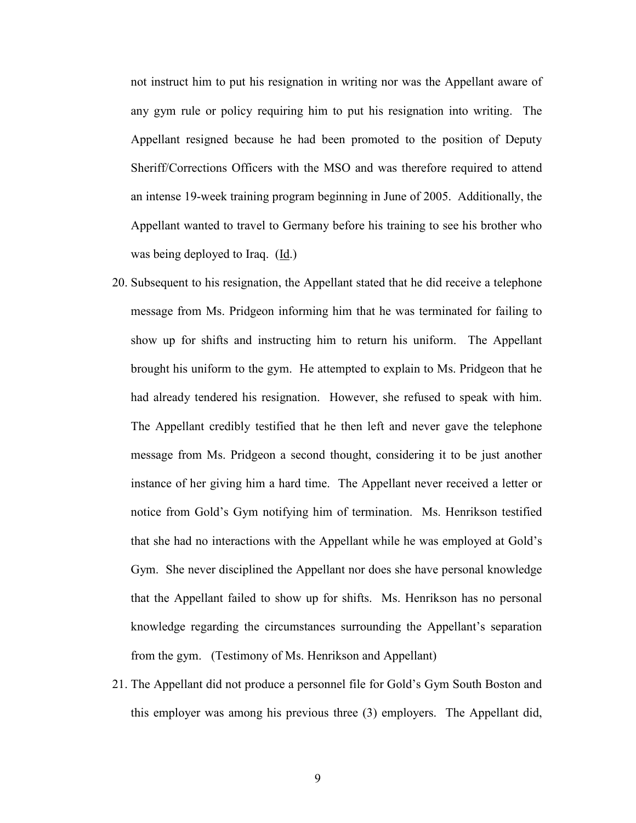not instruct him to put his resignation in writing nor was the Appellant aware of any gym rule or policy requiring him to put his resignation into writing. The Appellant resigned because he had been promoted to the position of Deputy Sheriff/Corrections Officers with the MSO and was therefore required to attend an intense 19-week training program beginning in June of 2005. Additionally, the Appellant wanted to travel to Germany before his training to see his brother who was being deployed to Iraq. (Id.)

- 20. Subsequent to his resignation, the Appellant stated that he did receive a telephone message from Ms. Pridgeon informing him that he was terminated for failing to show up for shifts and instructing him to return his uniform. The Appellant brought his uniform to the gym. He attempted to explain to Ms. Pridgeon that he had already tendered his resignation. However, she refused to speak with him. The Appellant credibly testified that he then left and never gave the telephone message from Ms. Pridgeon a second thought, considering it to be just another instance of her giving him a hard time. The Appellant never received a letter or notice from Gold's Gym notifying him of termination. Ms. Henrikson testified that she had no interactions with the Appellant while he was employed at Gold's Gym. She never disciplined the Appellant nor does she have personal knowledge that the Appellant failed to show up for shifts. Ms. Henrikson has no personal knowledge regarding the circumstances surrounding the Appellant's separation from the gym. (Testimony of Ms. Henrikson and Appellant)
- 21. The Appellant did not produce a personnel file for Gold's Gym South Boston and this employer was among his previous three (3) employers. The Appellant did,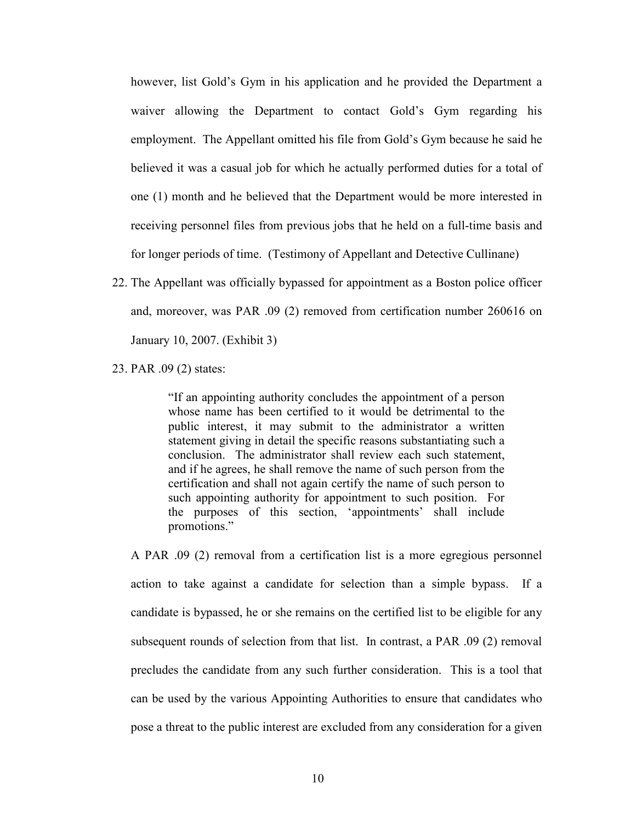however, list Gold's Gym in his application and he provided the Department a waiver allowing the Department to contact Gold's Gym regarding his employment. The Appellant omitted his file from Gold's Gym because he said he believed it was a casual job for which he actually performed duties for a total of one (1) month and he believed that the Department would be more interested in receiving personnel files from previous jobs that he held on a full-time basis and for longer periods of time. (Testimony of Appellant and Detective Cullinane)

22. The Appellant was officially bypassed for appointment as a Boston police officer and, moreover, was PAR .09 (2) removed from certification number 260616 on January 10, 2007. (Exhibit 3)

23. PAR .09 (2) states:

"If an appointing authority concludes the appointment of a person whose name has been certified to it would be detrimental to the public interest, it may submit to the administrator a written statement giving in detail the specific reasons substantiating such a conclusion. The administrator shall review each such statement, and if he agrees, he shall remove the name of such person from the certification and shall not again certify the name of such person to such appointing authority for appointment to such position. For the purposes of this section, 'appointments' shall include promotions."

A PAR .09 (2) removal from a certification list is a more egregious personnel action to take against a candidate for selection than a simple bypass. If a candidate is bypassed, he or she remains on the certified list to be eligible for any subsequent rounds of selection from that list. In contrast, a PAR .09 (2) removal precludes the candidate from any such further consideration. This is a tool that can be used by the various Appointing Authorities to ensure that candidates who pose a threat to the public interest are excluded from any consideration for a given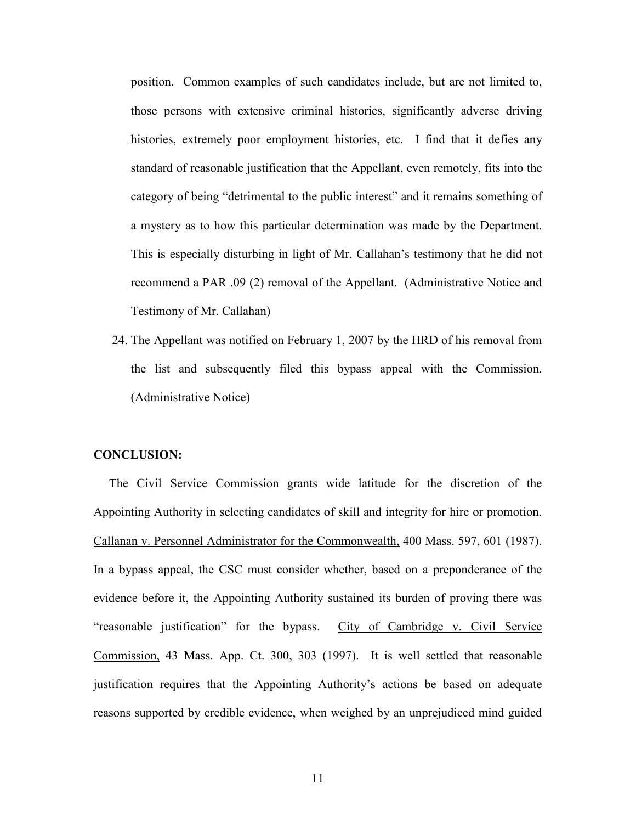position. Common examples of such candidates include, but are not limited to, those persons with extensive criminal histories, significantly adverse driving histories, extremely poor employment histories, etc. I find that it defies any standard of reasonable justification that the Appellant, even remotely, fits into the category of being "detrimental to the public interest" and it remains something of a mystery as to how this particular determination was made by the Department. This is especially disturbing in light of Mr. Callahan's testimony that he did not recommend a PAR .09 (2) removal of the Appellant. (Administrative Notice and Testimony of Mr. Callahan)

24. The Appellant was notified on February 1, 2007 by the HRD of his removal from the list and subsequently filed this bypass appeal with the Commission. (Administrative Notice)

### CONCLUSION:

 The Civil Service Commission grants wide latitude for the discretion of the Appointing Authority in selecting candidates of skill and integrity for hire or promotion. Callanan v. Personnel Administrator for the Commonwealth, 400 Mass. 597, 601 (1987). In a bypass appeal, the CSC must consider whether, based on a preponderance of the evidence before it, the Appointing Authority sustained its burden of proving there was "reasonable justification" for the bypass. City of Cambridge v. Civil Service Commission, 43 Mass. App. Ct. 300, 303 (1997). It is well settled that reasonable justification requires that the Appointing Authority's actions be based on adequate reasons supported by credible evidence, when weighed by an unprejudiced mind guided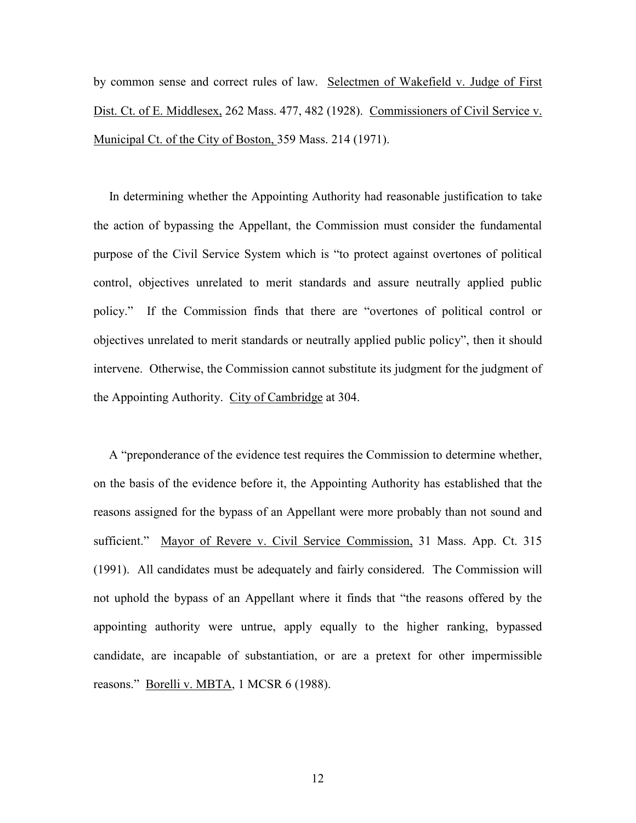by common sense and correct rules of law. Selectmen of Wakefield v. Judge of First Dist. Ct. of E. Middlesex, 262 Mass. 477, 482 (1928). Commissioners of Civil Service v. Municipal Ct. of the City of Boston, 359 Mass. 214 (1971).

 In determining whether the Appointing Authority had reasonable justification to take the action of bypassing the Appellant, the Commission must consider the fundamental purpose of the Civil Service System which is "to protect against overtones of political control, objectives unrelated to merit standards and assure neutrally applied public policy." If the Commission finds that there are "overtones of political control or objectives unrelated to merit standards or neutrally applied public policy", then it should intervene. Otherwise, the Commission cannot substitute its judgment for the judgment of the Appointing Authority. City of Cambridge at 304.

 A "preponderance of the evidence test requires the Commission to determine whether, on the basis of the evidence before it, the Appointing Authority has established that the reasons assigned for the bypass of an Appellant were more probably than not sound and sufficient." Mayor of Revere v. Civil Service Commission, 31 Mass. App. Ct. 315 (1991). All candidates must be adequately and fairly considered. The Commission will not uphold the bypass of an Appellant where it finds that "the reasons offered by the appointing authority were untrue, apply equally to the higher ranking, bypassed candidate, are incapable of substantiation, or are a pretext for other impermissible reasons." Borelli v. MBTA, 1 MCSR 6 (1988).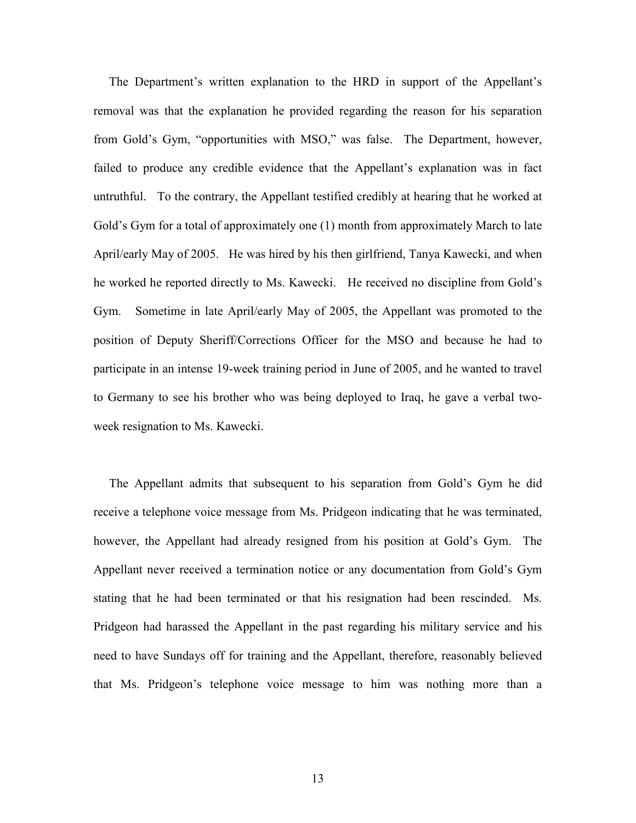The Department's written explanation to the HRD in support of the Appellant's removal was that the explanation he provided regarding the reason for his separation from Gold's Gym, "opportunities with MSO," was false. The Department, however, failed to produce any credible evidence that the Appellant's explanation was in fact untruthful. To the contrary, the Appellant testified credibly at hearing that he worked at Gold's Gym for a total of approximately one (1) month from approximately March to late April/early May of 2005. He was hired by his then girlfriend, Tanya Kawecki, and when he worked he reported directly to Ms. Kawecki. He received no discipline from Gold's Gym. Sometime in late April/early May of 2005, the Appellant was promoted to the position of Deputy Sheriff/Corrections Officer for the MSO and because he had to participate in an intense 19-week training period in June of 2005, and he wanted to travel to Germany to see his brother who was being deployed to Iraq, he gave a verbal twoweek resignation to Ms. Kawecki.

 The Appellant admits that subsequent to his separation from Gold's Gym he did receive a telephone voice message from Ms. Pridgeon indicating that he was terminated, however, the Appellant had already resigned from his position at Gold's Gym. The Appellant never received a termination notice or any documentation from Gold's Gym stating that he had been terminated or that his resignation had been rescinded. Ms. Pridgeon had harassed the Appellant in the past regarding his military service and his need to have Sundays off for training and the Appellant, therefore, reasonably believed that Ms. Pridgeon's telephone voice message to him was nothing more than a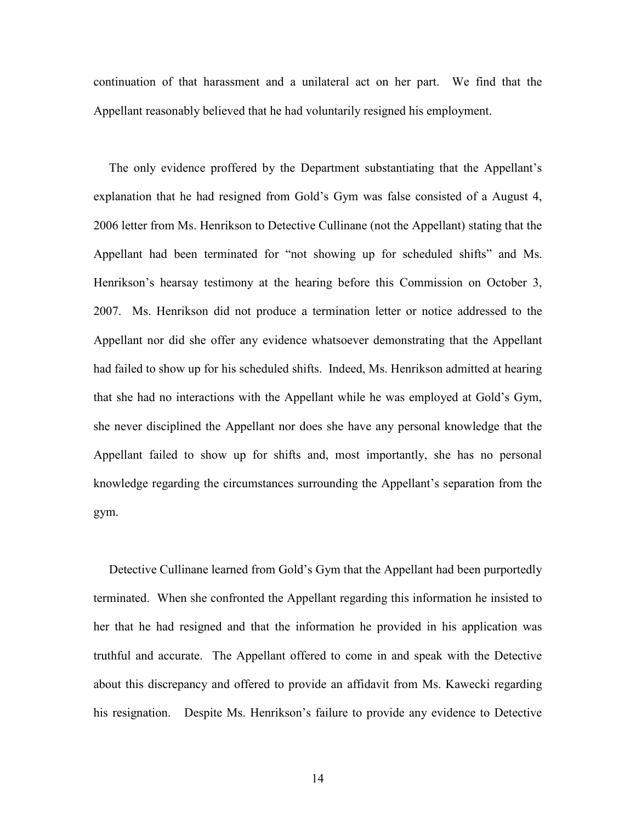continuation of that harassment and a unilateral act on her part. We find that the Appellant reasonably believed that he had voluntarily resigned his employment.

 The only evidence proffered by the Department substantiating that the Appellant's explanation that he had resigned from Gold's Gym was false consisted of a August 4, 2006 letter from Ms. Henrikson to Detective Cullinane (not the Appellant) stating that the Appellant had been terminated for "not showing up for scheduled shifts" and Ms. Henrikson's hearsay testimony at the hearing before this Commission on October 3, 2007. Ms. Henrikson did not produce a termination letter or notice addressed to the Appellant nor did she offer any evidence whatsoever demonstrating that the Appellant had failed to show up for his scheduled shifts. Indeed, Ms. Henrikson admitted at hearing that she had no interactions with the Appellant while he was employed at Gold's Gym, she never disciplined the Appellant nor does she have any personal knowledge that the Appellant failed to show up for shifts and, most importantly, she has no personal knowledge regarding the circumstances surrounding the Appellant's separation from the gym.

 Detective Cullinane learned from Gold's Gym that the Appellant had been purportedly terminated. When she confronted the Appellant regarding this information he insisted to her that he had resigned and that the information he provided in his application was truthful and accurate. The Appellant offered to come in and speak with the Detective about this discrepancy and offered to provide an affidavit from Ms. Kawecki regarding his resignation. Despite Ms. Henrikson's failure to provide any evidence to Detective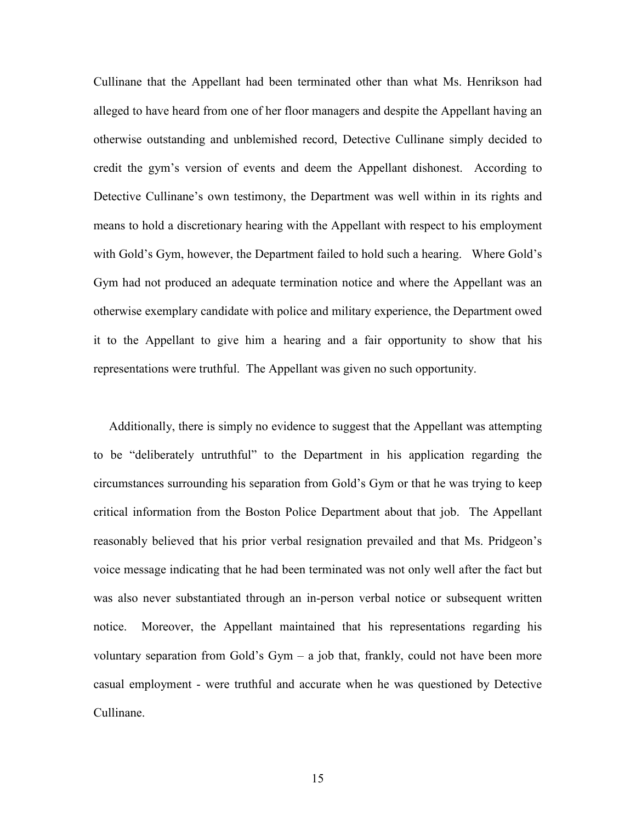Cullinane that the Appellant had been terminated other than what Ms. Henrikson had alleged to have heard from one of her floor managers and despite the Appellant having an otherwise outstanding and unblemished record, Detective Cullinane simply decided to credit the gym's version of events and deem the Appellant dishonest. According to Detective Cullinane's own testimony, the Department was well within in its rights and means to hold a discretionary hearing with the Appellant with respect to his employment with Gold's Gym, however, the Department failed to hold such a hearing. Where Gold's Gym had not produced an adequate termination notice and where the Appellant was an otherwise exemplary candidate with police and military experience, the Department owed it to the Appellant to give him a hearing and a fair opportunity to show that his representations were truthful. The Appellant was given no such opportunity.

 Additionally, there is simply no evidence to suggest that the Appellant was attempting to be "deliberately untruthful" to the Department in his application regarding the circumstances surrounding his separation from Gold's Gym or that he was trying to keep critical information from the Boston Police Department about that job. The Appellant reasonably believed that his prior verbal resignation prevailed and that Ms. Pridgeon's voice message indicating that he had been terminated was not only well after the fact but was also never substantiated through an in-person verbal notice or subsequent written notice. Moreover, the Appellant maintained that his representations regarding his voluntary separation from Gold's Gym  $-$  a job that, frankly, could not have been more casual employment - were truthful and accurate when he was questioned by Detective Cullinane.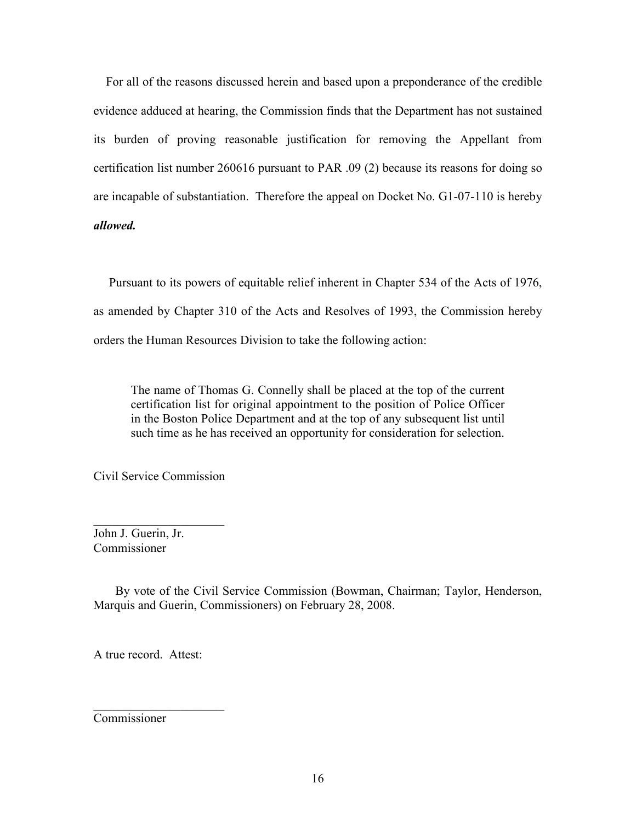For all of the reasons discussed herein and based upon a preponderance of the credible evidence adduced at hearing, the Commission finds that the Department has not sustained its burden of proving reasonable justification for removing the Appellant from certification list number 260616 pursuant to PAR .09 (2) because its reasons for doing so are incapable of substantiation. Therefore the appeal on Docket No. G1-07-110 is hereby allowed.

 Pursuant to its powers of equitable relief inherent in Chapter 534 of the Acts of 1976, as amended by Chapter 310 of the Acts and Resolves of 1993, the Commission hereby orders the Human Resources Division to take the following action:

The name of Thomas G. Connelly shall be placed at the top of the current certification list for original appointment to the position of Police Officer in the Boston Police Department and at the top of any subsequent list until such time as he has received an opportunity for consideration for selection.

Civil Service Commission

 $\overline{\phantom{a}}$  , which is a set of the set of the set of the set of the set of the set of the set of the set of the set of the set of the set of the set of the set of the set of the set of the set of the set of the set of th

John J. Guerin, Jr. Commissioner

 By vote of the Civil Service Commission (Bowman, Chairman; Taylor, Henderson, Marquis and Guerin, Commissioners) on February 28, 2008.

A true record. Attest:

 $\overline{\phantom{a}}$  , which is a set of the set of the set of the set of the set of the set of the set of the set of the set of the set of the set of the set of the set of the set of the set of the set of the set of the set of th

Commissioner